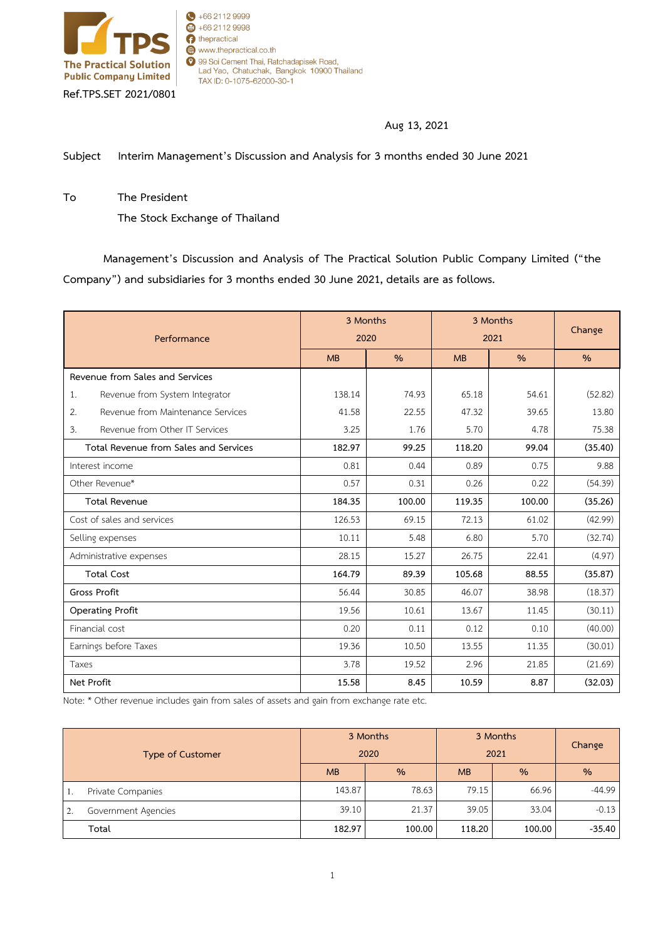

 $+6621129999$  $\bigoplus$  +66 2112 9998 thepractical www.thepractical.co.th 99 Soi Cement Thai, Ratchadapisek Road,<br>Lad Yao, Chatuchak, Bangkok 10900 Thailand TAX ID: 0-1075-62000-30-1

## **Aug 13, 2021**

**Subject Interim Management's Discussion and Analysis for 3 months ended 30 June 2021**

**To The President The Stock Exchange of Thailand**

**Management's Discussion and Analysis of The Practical Solution Public Company Limited ("the Company") and subsidiaries for 3 months ended 30 June 2021, details are as follows.**

| Performance                             | 3 Months<br>2020 |               | 3 Months<br>2021 |               | Change        |
|-----------------------------------------|------------------|---------------|------------------|---------------|---------------|
|                                         | MB               | $\frac{9}{6}$ | MB               | $\frac{9}{6}$ | $\frac{9}{6}$ |
| Revenue from Sales and Services         |                  |               |                  |               |               |
| 1.<br>Revenue from System Integrator    | 138.14           | 74.93         | 65.18            | 54.61         | (52.82)       |
| Revenue from Maintenance Services<br>2. | 41.58            | 22.55         | 47.32            | 39.65         | 13.80         |
| 3.<br>Revenue from Other IT Services    | 3.25             | 1.76          | 5.70             | 4.78          | 75.38         |
| Total Revenue from Sales and Services   | 182.97           | 99.25         | 118.20           | 99.04         | (35.40)       |
| Interest income                         | 0.81             | 0.44          | 0.89             | 0.75          | 9.88          |
| Other Revenue*                          | 0.57             | 0.31          | 0.26             | 0.22          | (54.39)       |
| <b>Total Revenue</b>                    | 184.35           | 100.00        | 119.35           | 100.00        | (35.26)       |
| Cost of sales and services              | 126.53           | 69.15         | 72.13            | 61.02         | (42.99)       |
| Selling expenses                        | 10.11            | 5.48          | 6.80             | 5.70          | (32.74)       |
| Administrative expenses                 | 28.15            | 15.27         | 26.75            | 22.41         | (4.97)        |
| <b>Total Cost</b>                       | 164.79           | 89.39         | 105.68           | 88.55         | (35.87)       |
| <b>Gross Profit</b>                     | 56.44            | 30.85         | 46.07            | 38.98         | (18.37)       |
| <b>Operating Profit</b>                 | 19.56            | 10.61         | 13.67            | 11.45         | (30.11)       |
| Financial cost                          | 0.20             | 0.11          | 0.12             | 0.10          | (40.00)       |
| Earnings before Taxes                   | 19.36            | 10.50         | 13.55            | 11.35         | (30.01)       |
| Taxes                                   | 3.78             | 19.52         | 2.96             | 21.85         | (21.69)       |
| Net Profit                              | 15.58            | 8.45          | 10.59            | 8.87          | (32.03)       |

Note: \* Other revenue includes gain from sales of assets and gain from exchange rate etc.

| <b>Type of Customer</b> |                     | 3 Months<br>2020 |           | 3 Months<br>2021 |               | Change   |
|-------------------------|---------------------|------------------|-----------|------------------|---------------|----------|
|                         | <b>MB</b>           | $\%$             | <b>MB</b> | $\frac{9}{6}$    | $\frac{9}{6}$ |          |
| 1.                      | Private Companies   | 143.87           | 78.63     | 79.15            | 66.96         | $-44.99$ |
| $\overline{2}$ .        | Government Agencies | 39.10            | 21.37     | 39.05            | 33.04         | $-0.13$  |
|                         | Total               | 182.97           | 100.00    | 118.20           | 100.00        | $-35.40$ |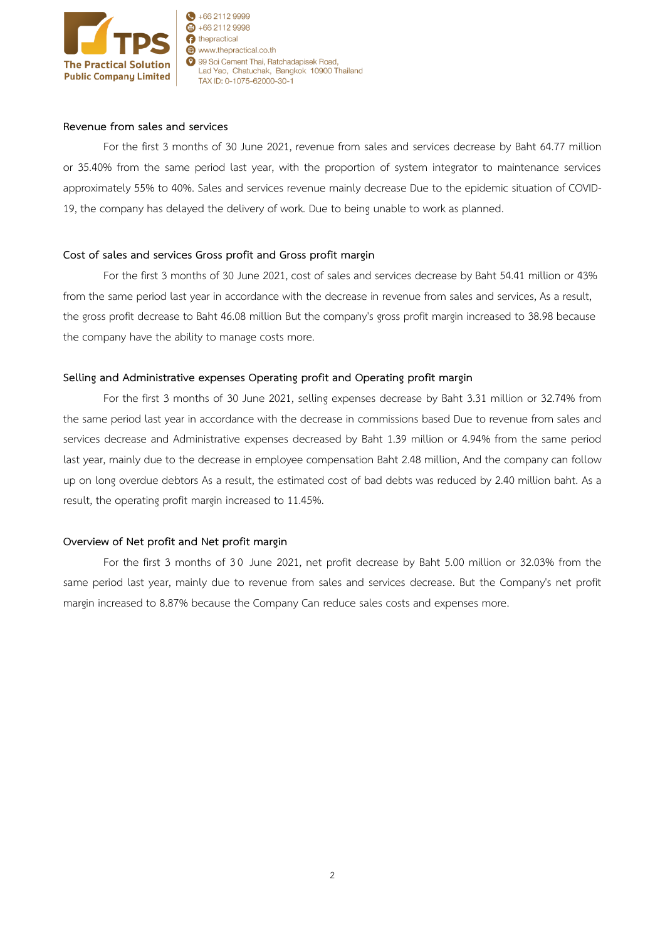

 $\bigodot +6621129999$  $\bigoplus$  +66 2112 9998 **A** thepractical www.thepractical.co.th <sup>9</sup> 99 Soi Cement Thai, Ratchadapisek Road, Lad Yao, Chatuchak, Bangkok 10900 Thailand TAX ID: 0-1075-62000-30-1

#### **Revenue from sales and services**

For the first 3 months of 30 June 2021, revenue from sales and services decrease by Baht 64.77 million or 35.40% from the same period last year, with the proportion of system integrator to maintenance services approximately 55% to 40%. Sales and services revenue mainly decrease Due to the epidemic situation of COVID-19, the company has delayed the delivery of work. Due to being unable to work as planned.

#### **Cost of sales and services Gross profit and Gross profit margin**

For the first 3 months of 30 June 2021, cost of sales and services decrease by Baht 54.41 million or 43% from the same period last year in accordance with the decrease in revenue from sales and services, As a result, the gross profit decrease to Baht 46.08 million But the company's gross profit margin increased to 38.98 because the company have the ability to manage costs more.

## **Selling and Administrative expenses Operating profit and Operating profit margin**

For the first 3 months of 30 June 2021, selling expenses decrease by Baht 3.31 million or 32.74% from the same period last year in accordance with the decrease in commissions based Due to revenue from sales and services decrease and Administrative expenses decreased by Baht 1.39 million or 4.94% from the same period last year, mainly due to the decrease in employee compensation Baht 2.48 million, And the company can follow up on long overdue debtors As a result, the estimated cost of bad debts was reduced by 2.40 million baht. As a result, the operating profit margin increased to 11.45%.

## **Overview of Net profit and Net profit margin**

For the first 3 months of 30 June 2021, net profit decrease by Baht 5.00 million or 32.03% from the same period last year, mainly due to revenue from sales and services decrease. But the Company's net profit margin increased to 8.87% because the Company Can reduce sales costs and expenses more.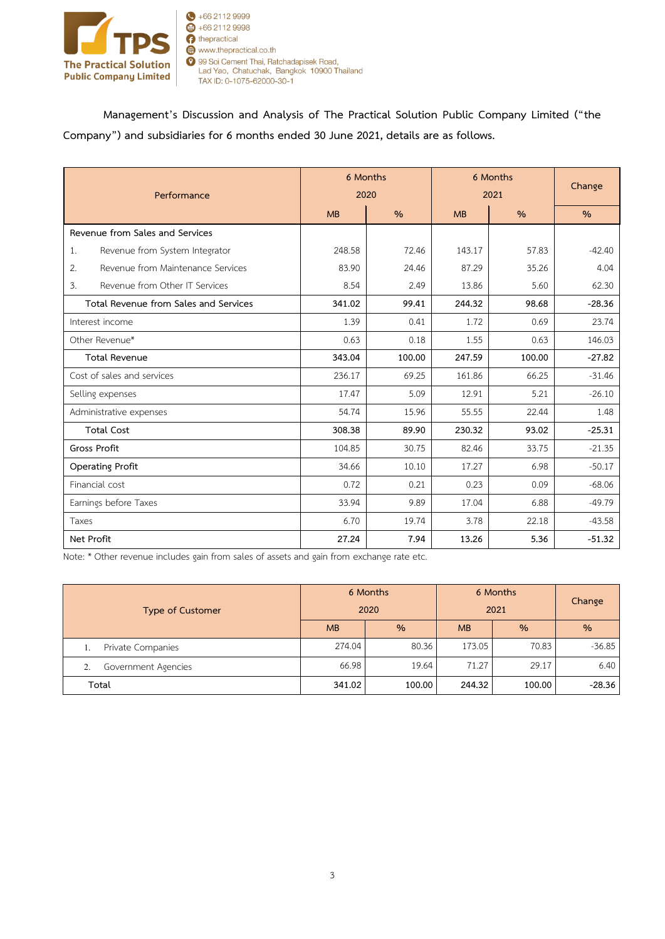

**Management's Discussion and Analysis of The Practical Solution Public Company Limited ("the Company") and subsidiaries for 6 months ended 30 June 2021, details are as follows.**

| Performance                             | 6 Months<br>2020 |               | 6 Months<br>2021 |        | Change        |
|-----------------------------------------|------------------|---------------|------------------|--------|---------------|
|                                         | MB               | $\frac{9}{6}$ | MB               | $\%$   | $\frac{9}{6}$ |
| Revenue from Sales and Services         |                  |               |                  |        |               |
| 1.<br>Revenue from System Integrator    | 248.58           | 72.46         | 143.17           | 57.83  | $-42.40$      |
| Revenue from Maintenance Services<br>2. | 83.90            | 24.46         | 87.29            | 35.26  | 4.04          |
| 3.<br>Revenue from Other IT Services    | 8.54             | 2.49          | 13.86            | 5.60   | 62.30         |
| Total Revenue from Sales and Services   | 341.02           | 99.41         | 244.32           | 98.68  | $-28.36$      |
| Interest income                         | 1.39             | 0.41          | 1.72             | 0.69   | 23.74         |
| Other Revenue*                          | 0.63             | 0.18          | 1.55             | 0.63   | 146.03        |
| <b>Total Revenue</b>                    | 343.04           | 100.00        | 247.59           | 100.00 | $-27.82$      |
| Cost of sales and services              | 236.17           | 69.25         | 161.86           | 66.25  | $-31.46$      |
| Selling expenses                        | 17.47            | 5.09          | 12.91            | 5.21   | $-26.10$      |
| Administrative expenses                 | 54.74            | 15.96         | 55.55            | 22.44  | 1.48          |
| <b>Total Cost</b>                       | 308.38           | 89.90         | 230.32           | 93.02  | $-25.31$      |
| <b>Gross Profit</b>                     | 104.85           | 30.75         | 82.46            | 33.75  | $-21.35$      |
| <b>Operating Profit</b>                 | 34.66            | 10.10         | 17.27            | 6.98   | $-50.17$      |
| Financial cost                          | 0.72             | 0.21          | 0.23             | 0.09   | $-68.06$      |
| Earnings before Taxes                   | 33.94            | 9.89          | 17.04            | 6.88   | $-49.79$      |
| Taxes                                   | 6.70             | 19.74         | 3.78             | 22.18  | $-43.58$      |
| Net Profit                              | 27.24            | 7.94          | 13.26            | 5.36   | $-51.32$      |

Note: \* Other revenue includes gain from sales of assets and gain from exchange rate etc.

| <b>Type of Customer</b>    | 6 Months<br>2020 |        | 6 Months<br>2021 |        | Change        |
|----------------------------|------------------|--------|------------------|--------|---------------|
|                            | <b>MB</b>        | $\%$   | <b>MB</b>        | $\%$   | $\frac{9}{6}$ |
| Private Companies          | 274.04           | 80.36  | 173.05           | 70.83  | $-36.85$      |
| <b>Government Agencies</b> | 66.98            | 19.64  | 71.27            | 29.17  | 6.40          |
| Total                      | 341.02           | 100.00 | 244.32           | 100.00 | $-28.36$      |